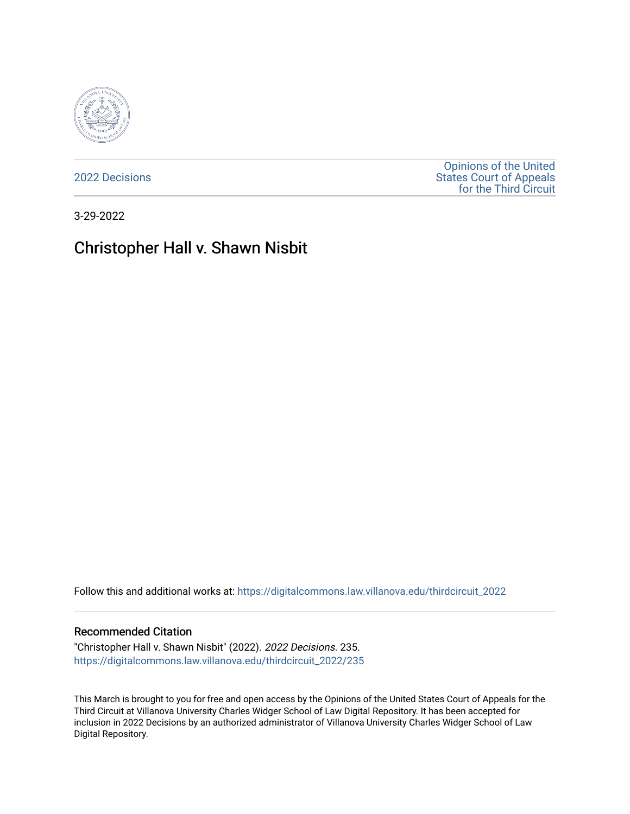

[2022 Decisions](https://digitalcommons.law.villanova.edu/thirdcircuit_2022)

[Opinions of the United](https://digitalcommons.law.villanova.edu/thirdcircuit)  [States Court of Appeals](https://digitalcommons.law.villanova.edu/thirdcircuit)  [for the Third Circuit](https://digitalcommons.law.villanova.edu/thirdcircuit) 

3-29-2022

# Christopher Hall v. Shawn Nisbit

Follow this and additional works at: [https://digitalcommons.law.villanova.edu/thirdcircuit\\_2022](https://digitalcommons.law.villanova.edu/thirdcircuit_2022?utm_source=digitalcommons.law.villanova.edu%2Fthirdcircuit_2022%2F235&utm_medium=PDF&utm_campaign=PDFCoverPages) 

#### Recommended Citation

"Christopher Hall v. Shawn Nisbit" (2022). 2022 Decisions. 235. [https://digitalcommons.law.villanova.edu/thirdcircuit\\_2022/235](https://digitalcommons.law.villanova.edu/thirdcircuit_2022/235?utm_source=digitalcommons.law.villanova.edu%2Fthirdcircuit_2022%2F235&utm_medium=PDF&utm_campaign=PDFCoverPages)

This March is brought to you for free and open access by the Opinions of the United States Court of Appeals for the Third Circuit at Villanova University Charles Widger School of Law Digital Repository. It has been accepted for inclusion in 2022 Decisions by an authorized administrator of Villanova University Charles Widger School of Law Digital Repository.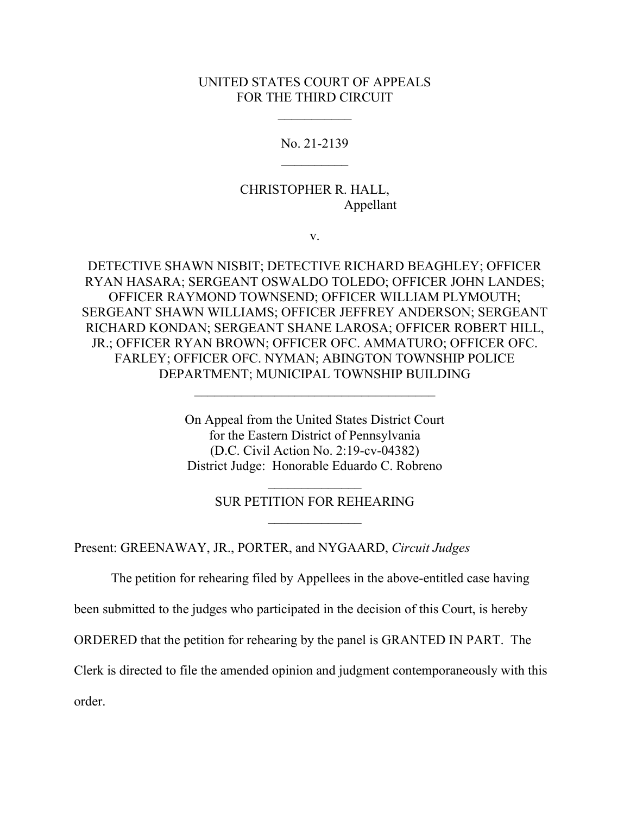### UNITED STATES COURT OF APPEALS FOR THE THIRD CIRCUIT

 $\frac{1}{2}$ 

No. 21-2139  $\frac{1}{2}$ 

## CHRISTOPHER R. HALL, Appellant

v.

DETECTIVE SHAWN NISBIT; DETECTIVE RICHARD BEAGHLEY; OFFICER RYAN HASARA; SERGEANT OSWALDO TOLEDO; OFFICER JOHN LANDES; OFFICER RAYMOND TOWNSEND; OFFICER WILLIAM PLYMOUTH; SERGEANT SHAWN WILLIAMS; OFFICER JEFFREY ANDERSON; SERGEANT RICHARD KONDAN; SERGEANT SHANE LAROSA; OFFICER ROBERT HILL, JR.; OFFICER RYAN BROWN; OFFICER OFC. AMMATURO; OFFICER OFC. FARLEY; OFFICER OFC. NYMAN; ABINGTON TOWNSHIP POLICE DEPARTMENT; MUNICIPAL TOWNSHIP BUILDING

> On Appeal from the United States District Court for the Eastern District of Pennsylvania (D.C. Civil Action No. 2:19-cv-04382) District Judge: Honorable Eduardo C. Robreno

\_\_\_\_\_\_\_\_\_\_\_\_\_\_\_\_\_\_\_\_\_\_\_\_\_\_\_\_\_\_\_\_\_\_\_\_

## $\overline{\phantom{a}}$ SUR PETITION FOR REHEARING  $\frac{1}{2}$

Present: GREENAWAY, JR., PORTER, and NYGAARD, *Circuit Judges*

The petition for rehearing filed by Appellees in the above-entitled case having

been submitted to the judges who participated in the decision of this Court, is hereby

ORDERED that the petition for rehearing by the panel is GRANTED IN PART. The

Clerk is directed to file the amended opinion and judgment contemporaneously with this

order.